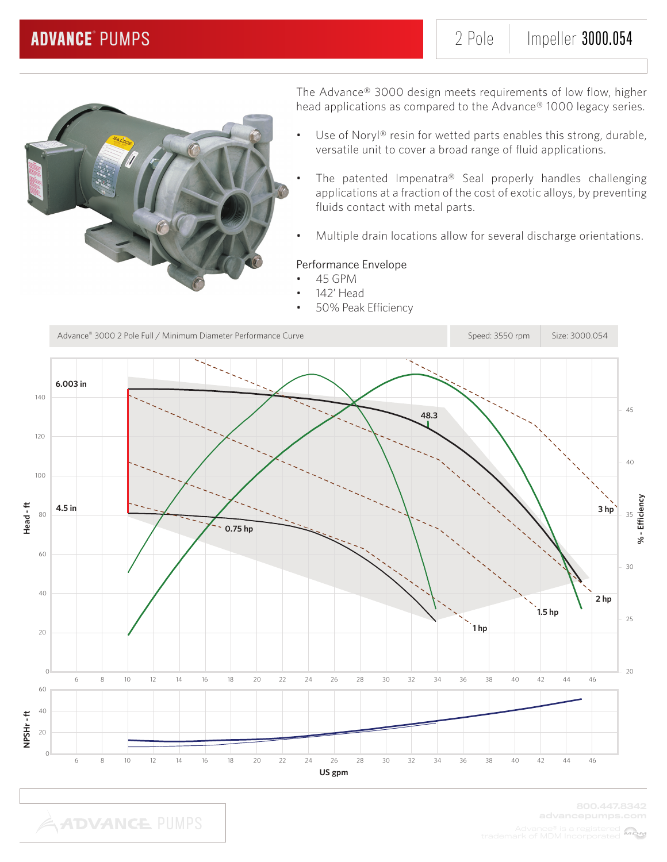

The Advance® 3000 design meets requirements of low flow, higher head applications as compared to the Advance® 1000 legacy series.

- Use of Noryl® resin for wetted parts enables this strong, durable, versatile unit to cover a broad range of fluid applications.
- The patented Impenatra® Seal properly handles challenging applications at a fraction of the cost of exotic alloys, by preventing fluids contact with metal parts.
- Multiple drain locations allow for several discharge orientations.

### Performance Envelope

- 45 GPM
- 142' Head
- 50% Peak Efficiency



**ADVANCE PUMPS**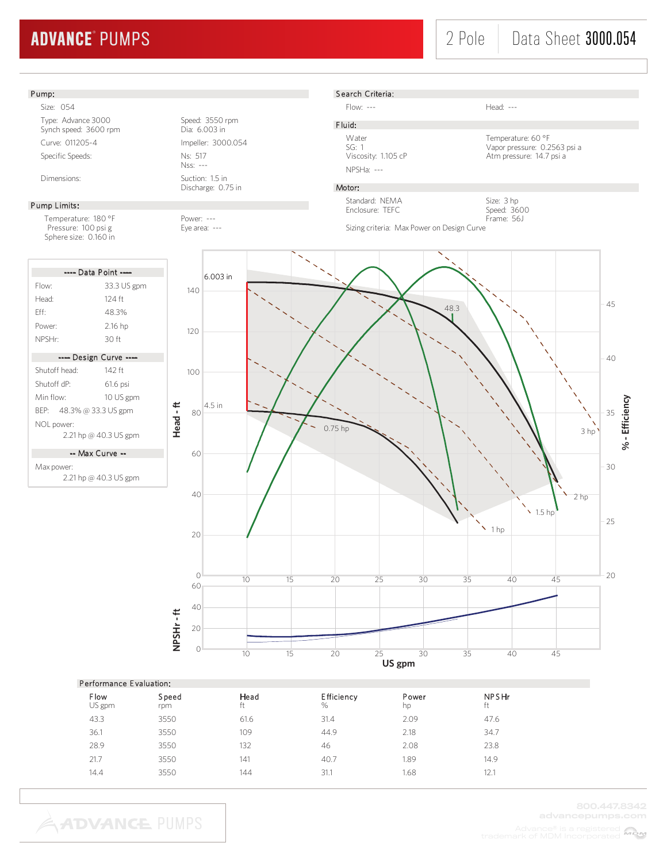# ADVANCE® PUMPS

## 2 Pole | Data Sheet 3000.054

### Pump: Size: 054 Type: Advance 3000<br>
Synch speed: 3600 rpm<br>
Dia: 6.003 in Synch speed: 3600 rpm Curve: 011205-4 Impeller: 3000.054 Specific Speeds: Ns: 517 Nss: --- Dimensions: Suction: 1.5 in Discharge: 0.75 in Pump Limits: Power: --- Temperature: 180 °F S earch Criteria: Flow: --- Head: --- F luid: Water Temperature: 60 °F<br>SG: 1 Vapor pressure: 0.2 SG: 1<br>Vapor pressure: 0.2563 psi a<br>Viscosity: 1.105 cP<br>Atm pressure: 14.7 psi a NPSHa: --- Motor: Standard: NEMA Enclosure: TEFC

Pressure: 100 psi g Sphere size: 0.160 in



Max power: 2.21 hp @ 40.3 US gpm Eye area: ---



**US gpm** <sup>15</sup> <sup>20</sup> <sup>25</sup> <sup>30</sup> <sup>35</sup> <sup>40</sup> <sup>45</sup> <sup>0</sup> <sup>10</sup>

| Performance Evaluation: |              |            |                           |             |              |  |
|-------------------------|--------------|------------|---------------------------|-------------|--------------|--|
| Flow<br>US gpm          | Speed<br>rpm | Head<br>ft | <b>Efficiency</b><br>$\%$ | Power<br>hp | <b>NPSHr</b> |  |
| 43.3                    | 3550         | 61.6       | 31.4                      | 2.09        | 47.6         |  |
| 36.1                    | 3550         | 109        | 44.9                      | 2.18        | 34.7         |  |
| 28.9                    | 3550         | 132        | 46                        | 2.08        | 23.8         |  |
| 21.7                    | 3550         | 141        | 40.7                      | 1.89        | 14.9         |  |
| 14.4                    | 3550         | 144        | 31.1                      | 1.68        | 12.1         |  |
|                         |              |            |                           |             |              |  |

**ADVANCE PUMPS** 

**NPSHr - ft**

NPSHr-ft

**Head - ft**

20 40 60

20

40

60

80

100

120

140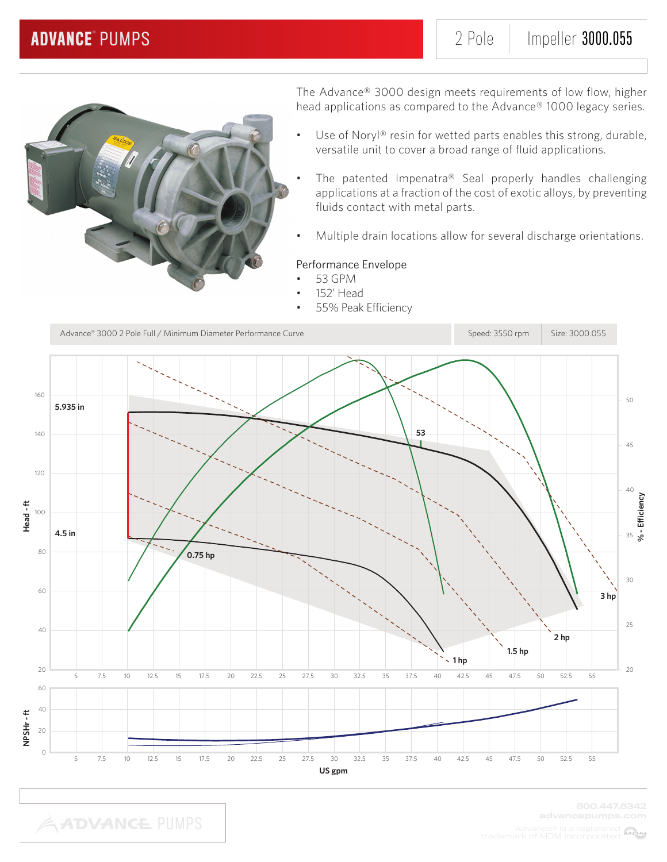

The Advance® 3000 design meets requirements of low flow, higher head applications as compared to the Advance® 1000 legacy series.

- Use of Noryl® resin for wetted parts enables this strong, durable, versatile unit to cover a broad range of fluid applications.
- The patented Impenatra® Seal properly handles challenging applications at a fraction of the cost of exotic alloys, by preventing fluids contact with metal parts.
- Multiple drain locations allow for several discharge orientations.

### Performance Envelope

- 53 GPM
- 152' Head
- 55% Peak Efficiency



MBM

**ADVANCE PUMPS**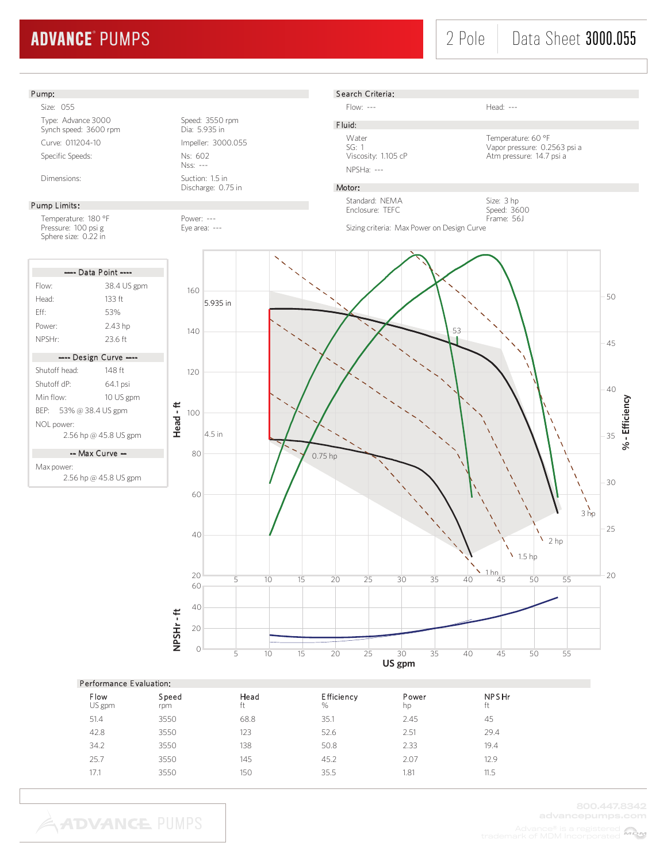# ADVANCE® PUMPS

## 2 Pole Data Sheet **3000.055**

### Pump:

Size: 055 Type: Advance 3000<br>
Synch speed: 3600 rpm<br>
Dia: 5.935 in Synch speed: 3600 rpm Curve: 011204-10 Impeller: 3000.055 Specific Speeds: Ns: 602

### Pump Limits:

Temperature: 180 °F Power: ---<br>Pressure: 100 psi g exercise by Eye area: ---Pressure: 100 psi g Sphere size: 0.22 in

| ---- Data Point ----    |                       |  |  |  |  |  |
|-------------------------|-----------------------|--|--|--|--|--|
| Flow:                   | 38.4 US gpm           |  |  |  |  |  |
| Head <sup>.</sup>       | 133 ft                |  |  |  |  |  |
| Fff                     | 53%                   |  |  |  |  |  |
| Power:                  | 2.43 hp               |  |  |  |  |  |
| NPSHr:                  | 236ft                 |  |  |  |  |  |
| ---- Design Curve ----  |                       |  |  |  |  |  |
| Shutoff head:           | 148 ft                |  |  |  |  |  |
| Shutoff dP <sup>.</sup> | 64.1 psi              |  |  |  |  |  |
| Min flow <sup>.</sup>   | 10 US gpm             |  |  |  |  |  |
| BEP: 53% @ 38.4 US gpm  |                       |  |  |  |  |  |
| NOL power:              |                       |  |  |  |  |  |
|                         | 2.56 hp @ 45.8 US gpm |  |  |  |  |  |

-- Max Curve --

Max power:

2.56 hp @ 45.8 US gpm

Nss: --- Dimensions: Suction: 1.5 in Discharge: 0.75 in



Flow: --- Head: ---

F luid: NPSHa: ---

Water Temperature: 60 °F<br>SG: 1 Vapor pressure: 0.2 SG: 1<br>Vapor pressure: 0.2563 psi a<br>Viscosity: 1.105 cP<br>Atm pressure: 14.7 psi a Atm pressure: 14.7 psi a

> Size: 3 hp Speed: 3600

### Motor:

Standard: NEMA Enclosure: TEFC

Frame: 56J Sizing criteria: Max Power on Design Curve



| Performance Evaluation: |              |            |                           |             |                    |  |
|-------------------------|--------------|------------|---------------------------|-------------|--------------------|--|
| Flow<br>US gpm          | Speed<br>rpm | Head<br>ft | <b>Efficiency</b><br>$\%$ | Power<br>hp | <b>NPSHr</b><br>ft |  |
| 51.4                    | 3550         | 68.8       | 35.1                      | 2.45        | 45                 |  |
| 42.8                    | 3550         | 123        | 52.6                      | 2.51        | 29.4               |  |
| 34.2                    | 3550         | 138        | 50.8                      | 2.33        | 19.4               |  |
| 25.7                    | 3550         | 145        | 45.2                      | 2.07        | 12.9               |  |
| 17.1                    | 3550         | 150        | 35.5                      | 1.81        | 11.5               |  |
|                         |              |            |                           |             |                    |  |

**ADVANCE PUMPS** 

800.447.8342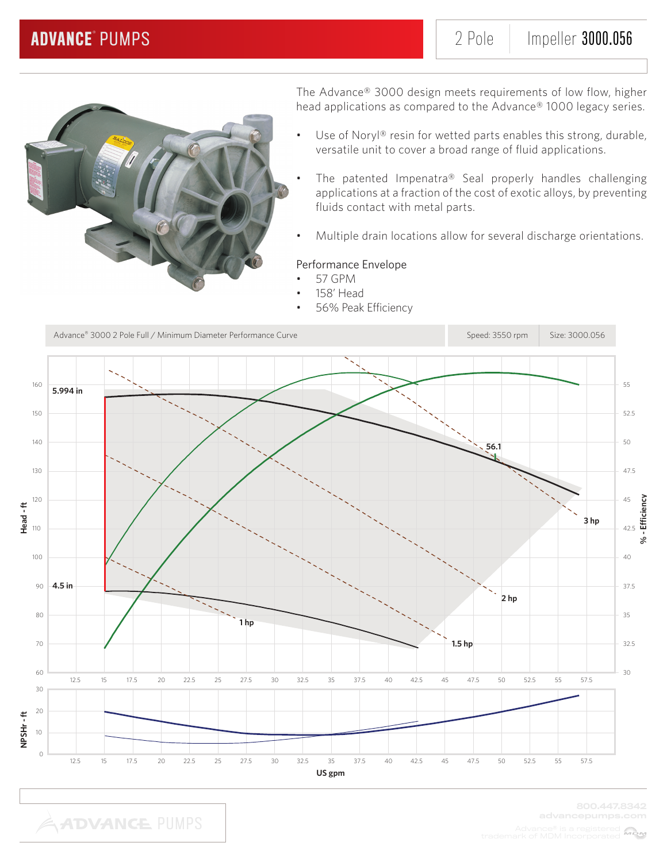

**ADVANCE PUMPS** 

The Advance® 3000 design meets requirements of low flow, higher head applications as compared to the Advance® 1000 legacy series.

- Use of Noryl® resin for wetted parts enables this strong, durable, versatile unit to cover a broad range of fluid applications.
- The patented Impenatra® Seal properly handles challenging applications at a fraction of the cost of exotic alloys, by preventing fluids contact with metal parts.
- Multiple drain locations allow for several discharge orientations.

## Performance Envelope

- 57 GPM
- 158' Head
- 56% Peak Efficiency